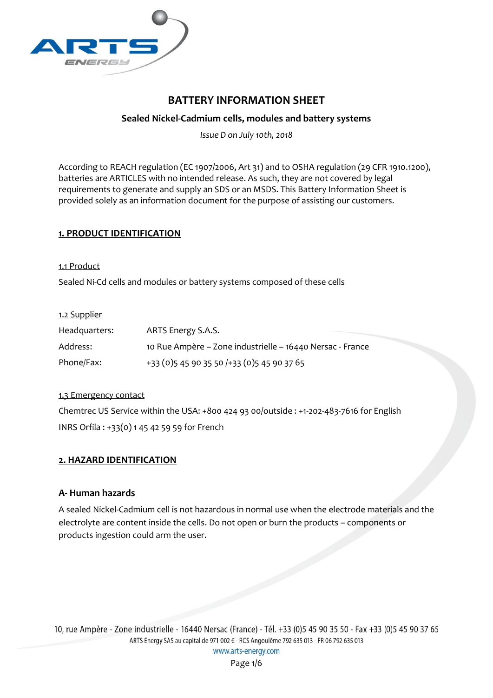

# **BATTERY INFORMATION SHEET**

# **Sealed Nickel-Cadmium cells, modules and battery systems**

*Issue D on July 10th, 2018*

According to REACH regulation (EC 1907/2006, Art 31) and to OSHA regulation (29 CFR 1910.1200), batteries are ARTICLES with no intended release. As such, they are not covered by legal requirements to generate and supply an SDS or an MSDS. This Battery Information Sheet is provided solely as an information document for the purpose of assisting our customers.

## **1. PRODUCT IDENTIFICATION**

#### 1.1 Product

Sealed Ni-Cd cells and modules or battery systems composed of these cells

### 1.2 Supplier

| Headquarters: | ARTS Energy S.A.S.                                        |
|---------------|-----------------------------------------------------------|
| Address:      | 10 Rue Ampère – Zone industrielle – 16440 Nersac - France |
| Phone/Fax:    | +33 (0) 5 45 90 35 50 /+33 (0) 5 45 90 37 65              |

### 1.3 Emergency contact

Chemtrec US Service within the USA: +800 424 93 00/outside : +1-202-483-7616 for English INRS Orfila : +33(0) 1 45 42 59 59 for French

## **2. HAZARD IDENTIFICATION**

## **A- Human hazards**

A sealed Nickel-Cadmium cell is not hazardous in normal use when the electrode materials and the electrolyte are content inside the cells. Do not open or burn the products – components or products ingestion could arm the user.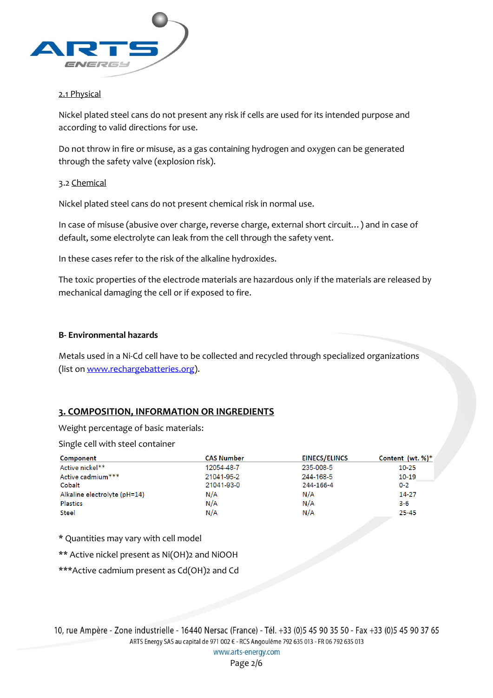

### 2.1 Physical

Nickel plated steel cans do not present any risk if cells are used for its intended purpose and according to valid directions for use.

Do not throw in fire or misuse, as a gas containing hydrogen and oxygen can be generated through the safety valve (explosion risk).

### 3.2 Chemical

Nickel plated steel cans do not present chemical risk in normal use.

In case of misuse (abusive over charge, reverse charge, external short circuit…) and in case of default, some electrolyte can leak from the cell through the safety vent.

In these cases refer to the risk of the alkaline hydroxides.

The toxic properties of the electrode materials are hazardous only if the materials are released by mechanical damaging the cell or if exposed to fire.

### **B- Environmental hazards**

Metals used in a Ni-Cd cell have to be collected and recycled through specialized organizations (list on [www.rechargebatteries.org\)](http://www.rechargebatteries.org/).

## **3. COMPOSITION, INFORMATION OR INGREDIENTS**

Weight percentage of basic materials:

Single cell with steel container

| Component                    | <b>CAS Number</b> | <b>EINECS/ELINCS</b> | Content (wt. $%$ )* |
|------------------------------|-------------------|----------------------|---------------------|
| Active nickel**              | 12054-48-7        | 235-008-5            | $10 - 25$           |
| Active cadmium***            | 21041-95-2        | 244-168-5            | $10 - 19$           |
| Cobalt                       | 21041-93-0        | 244-166-4            | $0 - 2$             |
| Alkaline electrolyte (pH=14) | N/A               | N/A                  | $14 - 27$           |
| Plastics                     | N/A               | N/A                  | $3 - 6$             |
| <b>Steel</b>                 | N/A               | N/A                  | $25 - 45$           |

\* Quantities may vary with cell model

\*\* Active nickel present as Ni(OH)2 and NiOOH

\*\*\*Active cadmium present as Cd(OH)2 and Cd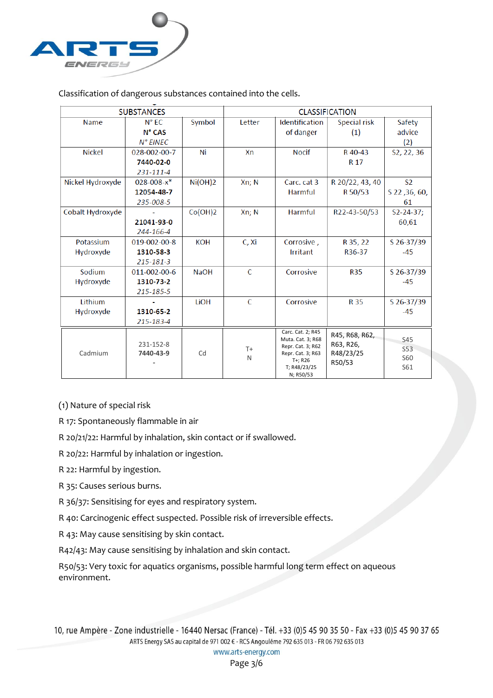

Classification of dangerous substances contained into the cells.

| <b>SUBSTANCES</b> |                        |             | <b>CLASSIFICATION</b> |                                                                                                                          |                                                    |                                        |
|-------------------|------------------------|-------------|-----------------------|--------------------------------------------------------------------------------------------------------------------------|----------------------------------------------------|----------------------------------------|
| <b>Name</b>       | $N^{\circ}$ EC         | Symbol      | Letter                | Identification                                                                                                           | Special risk                                       | Safety                                 |
|                   | N° CAS                 |             |                       | of danger                                                                                                                | (1)                                                | advice                                 |
|                   | N° EINEC               |             |                       |                                                                                                                          |                                                    | (2)                                    |
| <b>Nickel</b>     | 028-002-00-7           | Ni          | Xn                    | <b>Nocif</b>                                                                                                             | R 40-43                                            | S2, 22, 36                             |
|                   | 7440-02-0              |             |                       |                                                                                                                          | R <sub>17</sub>                                    |                                        |
|                   | 231-111-4              |             |                       |                                                                                                                          |                                                    |                                        |
| Nickel Hydroxyde  | $028 - 008 - x^*$      | Ni(OH)2     | Xn; N                 | Carc. cat 3                                                                                                              | R 20/22, 43, 40                                    | S <sub>2</sub>                         |
|                   | 12054-48-7             |             |                       | Harmful                                                                                                                  | R 50/53                                            | S 22, 36, 60,                          |
|                   | 235-008-5              |             |                       |                                                                                                                          |                                                    | 61                                     |
| Cobalt Hydroxyde  |                        | Co(OH)2     | Xn; N                 | <b>Harmful</b>                                                                                                           | R22-43-50/53                                       | $S2 - 24 - 37$ :                       |
|                   | 21041-93-0             |             |                       |                                                                                                                          |                                                    | 60.61                                  |
|                   | 244-166-4              |             |                       |                                                                                                                          |                                                    |                                        |
| Potassium         | 019-002-00-8           | <b>KOH</b>  | C, Xi                 | Corrosive,                                                                                                               | R 35, 22                                           | S 26-37/39                             |
| Hydroxyde         | 1310-58-3              |             |                       | Irritant                                                                                                                 | R36-37                                             | $-45$                                  |
|                   | 215-181-3              |             |                       |                                                                                                                          |                                                    |                                        |
| Sodium            | 011-002-00-6           | <b>NaOH</b> | C                     | Corrosive                                                                                                                | <b>R35</b>                                         | S 26-37/39                             |
| Hydroxyde         | 1310-73-2              |             |                       |                                                                                                                          |                                                    | $-45$                                  |
|                   | 215-185-5              |             |                       |                                                                                                                          |                                                    |                                        |
| Lithium           |                        | <b>LiOH</b> | C                     | Corrosive                                                                                                                | <b>R35</b>                                         | S 26-37/39                             |
| Hydroxyde         | 1310-65-2              |             |                       |                                                                                                                          |                                                    | $-45$                                  |
|                   | 215-183-4              |             |                       |                                                                                                                          |                                                    |                                        |
| Cadmium           | 231-152-8<br>7440-43-9 | Cd          | $T+$<br>N             | Carc. Cat. 2; R45<br>Muta. Cat. 3; R68<br>Repr. Cat. 3; R62<br>Repr. Cat. 3; R63<br>T+; R26<br>T; R48/23/25<br>N; R50/53 | R45, R68, R62,<br>R63, R26,<br>R48/23/25<br>R50/53 | S45<br><b>S53</b><br><b>S60</b><br>S61 |

(1) Nature of special risk

R 17: Spontaneously flammable in air

R 20/21/22: Harmful by inhalation, skin contact or if swallowed.

R 20/22: Harmful by inhalation or ingestion.

R 22: Harmful by ingestion.

R 35: Causes serious burns.

R 36/37: Sensitising for eyes and respiratory system.

R 40: Carcinogenic effect suspected. Possible risk of irreversible effects.

R 43: May cause sensitising by skin contact.

R42/43: May cause sensitising by inhalation and skin contact.

R50/53: Very toxic for aquatics organisms, possible harmful long term effect on aqueous environment.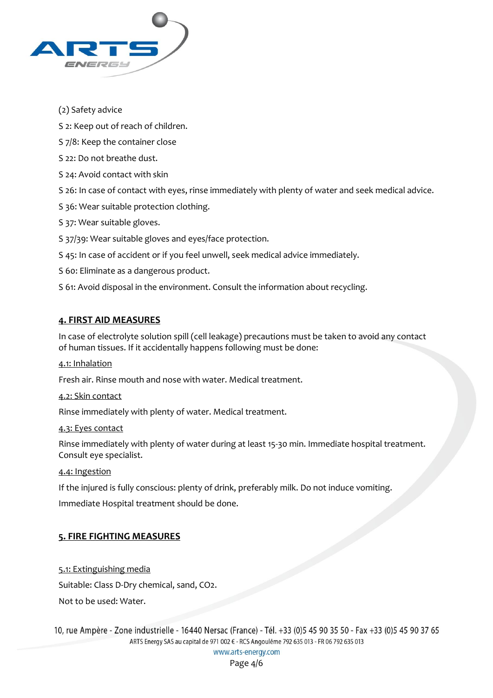

## (2) Safety advice

S 2: Keep out of reach of children.

S 7/8: Keep the container close

- S 22: Do not breathe dust.
- S 24: Avoid contact with skin

S 26: In case of contact with eyes, rinse immediately with plenty of water and seek medical advice.

S 36: Wear suitable protection clothing.

S 37: Wear suitable gloves.

S 37/39: Wear suitable gloves and eyes/face protection.

S 45: In case of accident or if you feel unwell, seek medical advice immediately.

S 60: Eliminate as a dangerous product.

S 61: Avoid disposal in the environment. Consult the information about recycling.

## **4. FIRST AID MEASURES**

In case of electrolyte solution spill (cell leakage) precautions must be taken to avoid any contact of human tissues. If it accidentally happens following must be done:

### 4.1: Inhalation

Fresh air. Rinse mouth and nose with water. Medical treatment.

### 4.2: Skin contact

Rinse immediately with plenty of water. Medical treatment.

### 4.3: Eyes contact

Rinse immediately with plenty of water during at least 15-30 min. Immediate hospital treatment. Consult eye specialist.

### 4.4: Ingestion

If the injured is fully conscious: plenty of drink, preferably milk. Do not induce vomiting.

Immediate Hospital treatment should be done.

## **5. FIRE FIGHTING MEASURES**

5.1: Extinguishing media Suitable: Class D-Dry chemical, sand, CO2. Not to be used: Water.

10, rue Ampère - Zone industrielle - 16440 Nersac (France) - Tél. +33 (0)5 45 90 35 50 - Fax +33 (0)5 45 90 37 65 ARTS Energy SAS au capital de 971 002 € - RCS Angoulême 792 635 013 - FR 06 792 635 013

www.arts-energy.com

Page 4/6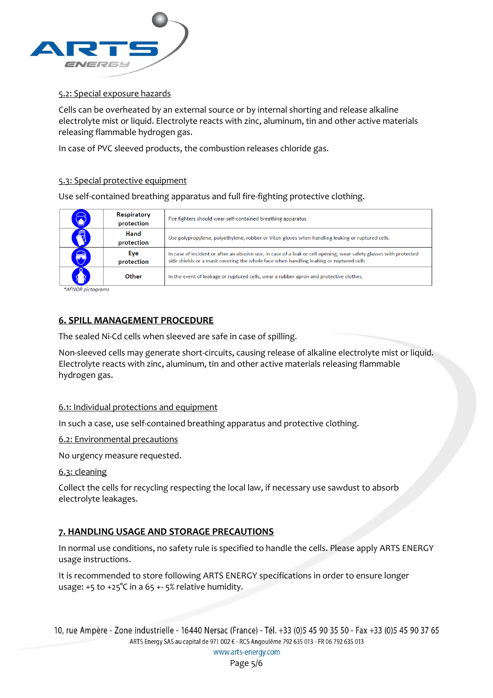

#### 5.2: Special exposure hazards

Cells can be overheated by an external source or by internal shorting and release alkaline electrolyte mist or liquid. Electrolyte reacts with zinc, aluminum, tin and other active materials releasing flammable hydrogen gas.

In case of PVC sleeved products, the combustion releases chloride gas.

#### 5.3: Special protective equipment

Use self-contained breathing apparatus and full fire-fighting protective clothing.

|              | <b>Respiratory</b><br>protection | Fire fighters should wear self-contained breathing apparatus.                                                                                                                                                |
|--------------|----------------------------------|--------------------------------------------------------------------------------------------------------------------------------------------------------------------------------------------------------------|
| $\mathbb{R}$ | <b>Hand</b><br>protection        | Use polypropylene, polyethylene, rubber or Viton gloves when handling leaking or ruptured cells.                                                                                                             |
| $\bigcirc$   | Eye<br>protection                | In case of incident or after an abusive use, in case of a leak or cell opening, wear safety glasses with protected<br>side shields or a mask covering the whole face when handling leaking or ruptured cells |
|              | Other                            | In the event of leakage or ruptured cells, wear a rubber apron and protective clothes.                                                                                                                       |

\*AFNOR pictograms

## **6. SPILL MANAGEMENT PROCEDURE**

The sealed Ni-Cd cells when sleeved are safe in case of spilling.

Non-sleeved cells may generate short-circuits, causing release of alkaline electrolyte mist or liquid. Electrolyte reacts with zinc, aluminum, tin and other active materials releasing flammable hydrogen gas.

#### 6.1: Individual protections and equipment

In such a case, use self-contained breathing apparatus and protective clothing.

6.2: Environmental precautions

No urgency measure requested.

6.3: cleaning

Collect the cells for recycling respecting the local law, if necessary use sawdust to absorb electrolyte leakages.

## **7. HANDLING USAGE AND STORAGE PRECAUTIONS**

In normal use conditions, no safety rule is specified to handle the cells. Please apply ARTS ENERGY usage instructions.

It is recommended to store following ARTS ENERGY specifications in order to ensure longer usage: +5 to +25°C in a 65 +- 5% relative humidity.

```
www.arts-energy.com
```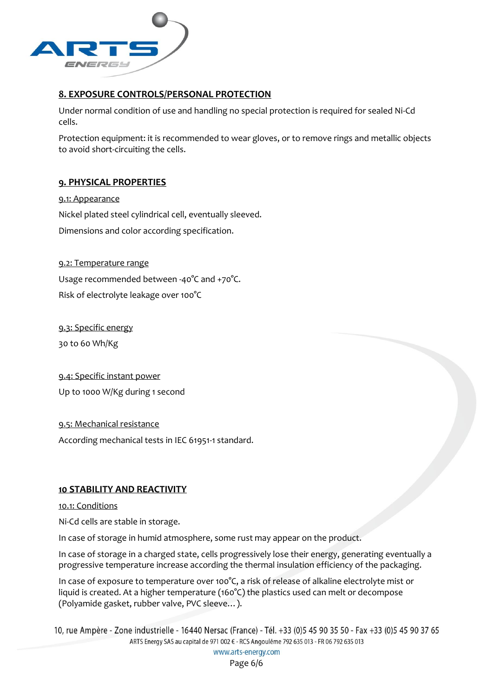

## **8. EXPOSURE CONTROLS/PERSONAL PROTECTION**

Under normal condition of use and handling no special protection is required for sealed Ni-Cd cells.

Protection equipment: it is recommended to wear gloves, or to remove rings and metallic objects to avoid short-circuiting the cells.

## **9. PHYSICAL PROPERTIES**

9.1: Appearance Nickel plated steel cylindrical cell, eventually sleeved. Dimensions and color according specification.

### 9.2: Temperature range

Usage recommended between -40°C and +70°C. Risk of electrolyte leakage over 100°C

9.3: Specific energy 30 to 60 Wh/Kg

9.4: Specific instant power Up to 1000 W/Kg during 1 second

9.5: Mechanical resistance

According mechanical tests in IEC 61951-1 standard.

## **10 STABILITY AND REACTIVITY**

10.1: Conditions

Ni-Cd cells are stable in storage.

In case of storage in humid atmosphere, some rust may appear on the product.

In case of storage in a charged state, cells progressively lose their energy, generating eventually a progressive temperature increase according the thermal insulation efficiency of the packaging.

In case of exposure to temperature over 100°C, a risk of release of alkaline electrolyte mist or liquid is created. At a higher temperature (160°C) the plastics used can melt or decompose (Polyamide gasket, rubber valve, PVC sleeve…).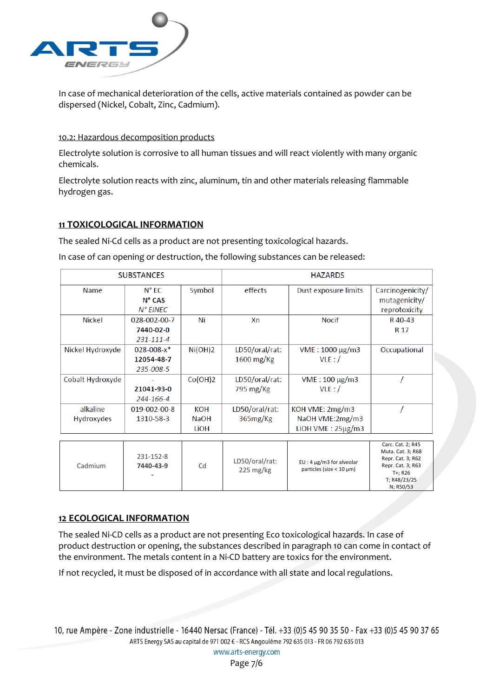

In case of mechanical deterioration of the cells, active materials contained as powder can be dispersed (Nickel, Cobalt, Zinc, Cadmium).

#### 10.2: Hazardous decomposition products

Electrolyte solution is corrosive to all human tissues and will react violently with many organic chemicals.

Electrolyte solution reacts with zinc, aluminum, tin and other materials releasing flammable hydrogen gas.

### **11 TOXICOLOGICAL INFORMATION**

The sealed Ni-Cd cells as a product are not presenting toxicological hazards.

In case of can opening or destruction, the following substances can be released:

| <b>SUBSTANCES</b> |                   |             | <b>HAZARDS</b> |                        |                  |
|-------------------|-------------------|-------------|----------------|------------------------|------------------|
| <b>Name</b>       | $N^{\circ}$ EC.   | Symbol      | effects        | Dust exposure limits   | Carcinogenicity/ |
|                   | $N^{\circ}$ CAS   |             |                |                        | mutagenicity/    |
|                   | $N^{\circ}$ EINEC |             |                |                        | reprotoxicity    |
| <b>Nickel</b>     | 028-002-00-7      | Ni          | Xn             | <b>Nocif</b>           | R 40-43          |
|                   | 7440-02-0         |             |                |                        | R 17             |
|                   | 231-111-4         |             |                |                        |                  |
| Nickel Hydroxyde  | $028 - 008 - x^*$ | Ni(OH)2     | LD50/oral/rat: | VME: 1000 μg/m3        | Occupational     |
|                   | 12054-48-7        |             | $1600$ mg/Kg   | VLE: /                 |                  |
|                   | 235-008-5         |             |                |                        |                  |
| Cobalt Hydroxyde  |                   | Co(OH)2     | LD50/oral/rat: | $VME: 100 \mu g/m3$    |                  |
|                   | 21041-93-0        |             | 795 mg/Kg      | VLE: /                 |                  |
|                   | 244-166-4         |             |                |                        |                  |
| alkaline          | 019-002-00-8      | KOH         | LD50/oral/rat: | KOH VME: 2mg/m3        |                  |
| <b>Hydroxydes</b> | 1310-58-3         | <b>NaOH</b> | 365mg/Kg       | NaOH VME:2mg/m3        |                  |
|                   |                   | LiOH        |                | LIOH VME: $25\mu g/m3$ |                  |
|                   |                   |             |                |                        |                  |

| Cadmium | 231-152-8<br>7440-43-9<br>$\overline{\phantom{a}}$ | Cd | LD50/oral/rat:<br>$225 \text{ mg/kg}$ | $EU: 4 \mu g/m3$ for alveolar<br>particles (size $< 10 \mu m$ ) | Carc. Cat. 2; R45<br>Muta. Cat. 3; R68<br>Repr. Cat. 3; R62<br>Repr. Cat. 3; R63<br>T+: R26<br>T; R48/23/25<br>N; R50/53 |
|---------|----------------------------------------------------|----|---------------------------------------|-----------------------------------------------------------------|--------------------------------------------------------------------------------------------------------------------------|
|---------|----------------------------------------------------|----|---------------------------------------|-----------------------------------------------------------------|--------------------------------------------------------------------------------------------------------------------------|

## **12 ECOLOGICAL INFORMATION**

The sealed Ni-CD cells as a product are not presenting Eco toxicological hazards. In case of product destruction or opening, the substances described in paragraph 10 can come in contact of the environment. The metals content in a Ni-CD battery are toxics for the environment.

If not recycled, it must be disposed of in accordance with all state and local regulations.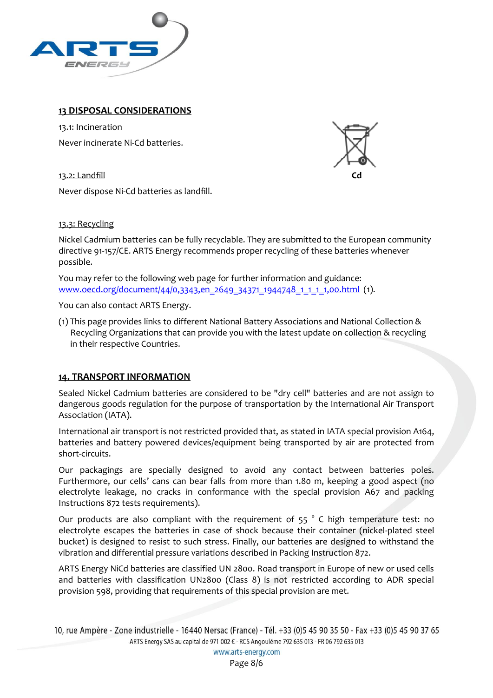

## **13 DISPOSAL CONSIDERATIONS**

13.1: Incineration Never incinerate Ni-Cd batteries.

13.2: Landfill



Never dispose Ni-Cd batteries as landfill.

13.3: Recycling

Nickel Cadmium batteries can be fully recyclable. They are submitted to the European community directive 91-157/CE. ARTS Energy recommends proper recycling of these batteries whenever possible.

You may refer to the following web page for further information and guidance: www.oecd.org/document/44/0,3343,en\_2649\_34371\_1944748\_1\_1\_1,00.html (1).

You can also contact ARTS Energy.

(1) This page provides links to different National Battery Associations and National Collection & Recycling Organizations that can provide you with the latest update on collection & recycling in their respective Countries.

## **14. TRANSPORT INFORMATION**

Sealed Nickel Cadmium batteries are considered to be "dry cell" batteries and are not assign to dangerous goods regulation for the purpose of transportation by the International Air Transport Association (IATA).

International air transport is not restricted provided that, as stated in IATA special provision A164, batteries and battery powered devices/equipment being transported by air are protected from short-circuits.

Our packagings are specially designed to avoid any contact between batteries poles. Furthermore, our cells' cans can bear falls from more than 1.80 m, keeping a good aspect (no electrolyte leakage, no cracks in conformance with the special provision A67 and packing Instructions 872 tests requirements).

Our products are also compliant with the requirement of 55 ° C high temperature test: no electrolyte escapes the batteries in case of shock because their container (nickel-plated steel bucket) is designed to resist to such stress. Finally, our batteries are designed to withstand the vibration and differential pressure variations described in Packing Instruction 872.

ARTS Energy NiCd batteries are classified UN 2800. Road transport in Europe of new or used cells and batteries with classification UN2800 (Class 8) is not restricted according to ADR special provision 598, providing that requirements of this special provision are met.

<sup>10,</sup> rue Ampère - Zone industrielle - 16440 Nersac (France) - Tél. +33 (0)5 45 90 35 50 - Fax +33 (0)5 45 90 37 65 ARTS Energy SAS au capital de 971 002 € - RCS Angoulême 792 635 013 - FR 06 792 635 013